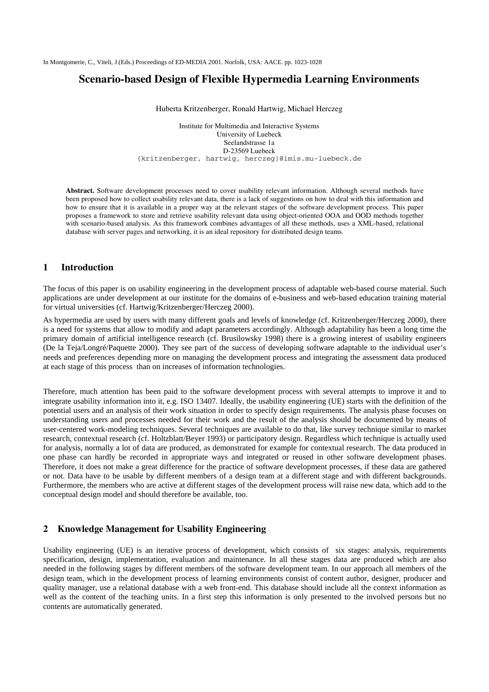# **Scenario-based Design of Flexible Hypermedia Learning Environments**

Huberta Kritzenberger, Ronald Hartwig, Michael Herczeg

Institute for Multimedia and Interactive Systems University of Luebeck Seelandstrasse 1a D-23569 Luebeck {kritzenberger, hartwig, herczeg}@imis.mu-luebeck.de

**Abstract.** Software development processes need to cover usability relevant information. Although several methods have been proposed how to collect usability relevant data, there is a lack of suggestions on how to deal with this information and how to ensure that it is available in a proper way at the relevant stages of the software development process. This paper proposes a framework to store and retrieve usability relevant data using object-oriented OOA and OOD methods together with scenario-based analysis. As this framework combines advantages of all these methods, uses a XML-based, relational database with server pages and networking, it is an ideal repository for distributed design teams.

# **1 Introduction**

The focus of this paper is on usability engineering in the development process of adaptable web-based course material. Such applications are under development at our institute for the domains of e-business and web-based education training material for virtual universities (cf. Hartwig/Kritzenberger/Herczeg 2000).

As hypermedia are used by users with many different goals and levels of knowledge (cf. Kritzenberger/Herczeg 2000), there is a need for systems that allow to modify and adapt parameters accordingly. Although adaptability has been a long time the primary domain of artificial intelligence research (cf. Brusilowsky 1998) there is a growing interest of usability engineers (De la Teja/Longré/Paquette 2000). They see part of the success of developing software adaptable to the individual user's needs and preferences depending more on managing the development process and integrating the assessment data produced at each stage of this process than on increases of information technologies.

Therefore, much attention has been paid to the software development process with several attempts to improve it and to integrate usability information into it, e.g. ISO 13407. Ideally, the usability engineering (UE) starts with the definition of the potential users and an analysis of their work situation in order to specify design requirements. The analysis phase focuses on understanding users and processes needed for their work and the result of the analysis should be documented by means of user-centered work-modeling techniques. Several techniques are available to do that, like survey technique similar to market research, contextual research (cf. Holtzblatt/Beyer 1993) or participatory design. Regardless which technique is actually used for analysis, normally a lot of data are produced, as demonstrated for example for contextual research. The data produced in one phase can hardly be recorded in appropriate ways and integrated or reused in other software development phases. Therefore, it does not make a great difference for the practice of software development processes, if these data are gathered or not. Data have to be usable by different members of a design team at a different stage and with different backgrounds. Furthermore, the members who are active at different stages of the development process will raise new data, which add to the conceptual design model and should therefore be available, too.

# **2 Knowledge Management for Usability Engineering**

Usability engineering (UE) is an iterative process of development, which consists of six stages: analysis, requirements specification, design, implementation, evaluation and maintenance. In all these stages data are produced which are also needed in the following stages by different members of the software development team. In our approach all members of the design team, which in the development process of learning environments consist of content author, designer, producer and quality manager, use a relational database with a web front-end. This database should include all the context information as well as the content of the teaching units. In a first step this information is only presented to the involved persons but no contents are automatically generated.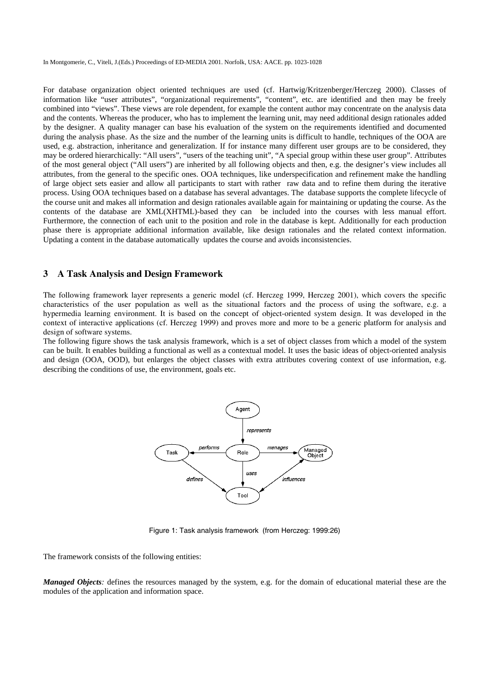For database organization object oriented techniques are used (cf. Hartwig/Kritzenberger/Herczeg 2000). Classes of information like "user attributes", "organizational requirements", "content", etc. are identified and then may be freely combined into "views". These views are role dependent, for example the content author may concentrate on the analysis data and the contents. Whereas the producer, who has to implement the learning unit, may need additional design rationales added by the designer. A quality manager can base his evaluation of the system on the requirements identified and documented during the analysis phase. As the size and the number of the learning units is difficult to handle, techniques of the OOA are used, e.g. abstraction, inheritance and generalization. If for instance many different user groups are to be considered, they may be ordered hierarchically: "All users", "users of the teaching unit", "A special group within these user group". Attributes of the most general object ("All users") are inherited by all following objects and then, e.g. the designer's view includes all attributes, from the general to the specific ones. OOA techniques, like underspecification and refinement make the handling of large object sets easier and allow all participants to start with rather raw data and to refine them during the iterative process. Using OOA techniques based on a database has several advantages. The database supports the complete lifecycle of the course unit and makes all information and design rationales available again for maintaining or updating the course. As the contents of the database are XML(XHTML)-based they can be included into the courses with less manual effort. Furthermore, the connection of each unit to the position and role in the database is kept. Additionally for each production phase there is appropriate additional information available, like design rationales and the related context information. Updating a content in the database automatically updates the course and avoids inconsistencies.

#### **3 A Task Analysis and Design Framework**

The following framework layer represents a generic model (cf. Herczeg 1999, Herczeg 2001), which covers the specific characteristics of the user population as well as the situational factors and the process of using the software, e.g. a hypermedia learning environment. It is based on the concept of object-oriented system design. It was developed in the context of interactive applications (cf. Herczeg 1999) and proves more and more to be a generic platform for analysis and design of software systems.

The following figure shows the task analysis framework, which is a set of object classes from which a model of the system can be built. It enables building a functional as well as a contextual model. It uses the basic ideas of object-oriented analysis and design (OOA, OOD), but enlarges the object classes with extra attributes covering context of use information, e.g. describing the conditions of use, the environment, goals etc.



Figure 1: Task analysis framework (from Herczeg: 1999:26)

The framework consists of the following entities:

*Managed Objects*: defines the resources managed by the system, e.g. for the domain of educational material these are the modules of the application and information space.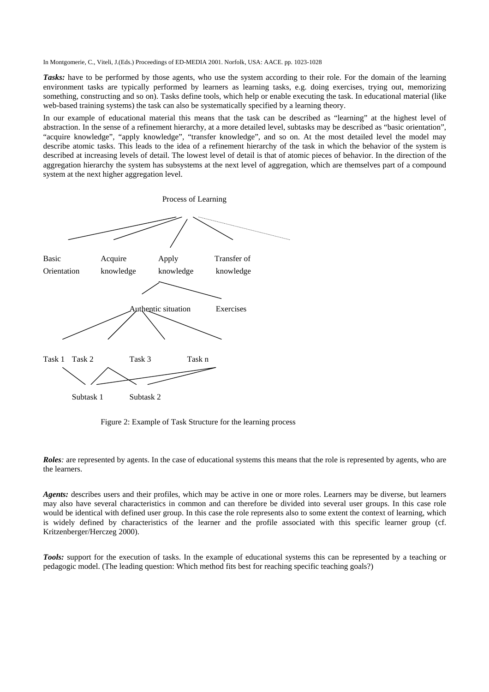*Tasks:* have to be performed by those agents, who use the system according to their role. For the domain of the learning environment tasks are typically performed by learners as learning tasks, e.g. doing exercises, trying out, memorizing something, constructing and so on). Tasks define tools, which help or enable executing the task. In educational material (like web-based training systems) the task can also be systematically specified by a learning theory.

In our example of educational material this means that the task can be described as "learning" at the highest level of abstraction. In the sense of a refinement hierarchy, at a more detailed level, subtasks may be described as "basic orientation", "acquire knowledge", "apply knowledge", "transfer knowledge", and so on. At the most detailed level the model may describe atomic tasks. This leads to the idea of a refinement hierarchy of the task in which the behavior of the system is described at increasing levels of detail. The lowest level of detail is that of atomic pieces of behavior. In the direction of the aggregation hierarchy the system has subsystems at the next level of aggregation, which are themselves part of a compound system at the next higher aggregation level.



Figure 2: Example of Task Structure for the learning process

*Roles*: are represented by agents. In the case of educational systems this means that the role is represented by agents, who are the learners.

*Agents:* describes users and their profiles, which may be active in one or more roles. Learners may be diverse, but learners may also have several characteristics in common and can therefore be divided into several user groups. In this case role would be identical with defined user group. In this case the role represents also to some extent the context of learning, which is widely defined by characteristics of the learner and the profile associated with this specific learner group (cf. Kritzenberger/Herczeg 2000).

*Tools:* support for the execution of tasks. In the example of educational systems this can be represented by a teaching or pedagogic model. (The leading question: Which method fits best for reaching specific teaching goals?)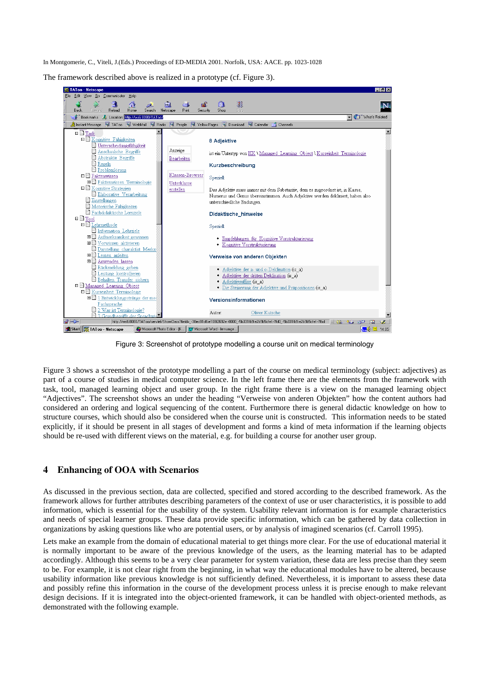The framework described above is realized in a prototype (cf. Figure 3).



Figure 3: Screenshot of prototype modelling a course unit on medical terminology

Figure 3 shows a screenshot of the prototype modelling a part of the course on medical terminology (subject: adjectives) as part of a course of studies in medical computer science. In the left frame there are the elements from the framework with task, tool, managed learning object and user group. In the right frame there is a view on the managed learning object "Adjectives". The screenshot shows an under the heading "Verweise von anderen Objekten" how the content authors had considered an ordering and logical sequencing of the content. Furthermore there is general didactic knowledge on how to structure courses, which should also be considered when the course unit is constructed. This information needs to be stated explicitly, if it should be present in all stages of development and forms a kind of meta information if the learning objects should be re-used with different views on the material, e.g. for building a course for another user group.

### **4 Enhancing of OOA with Scenarios**

As discussed in the previous section, data are collected, specified and stored according to the described framework. As the framework allows for further attributes describing parameters of the context of use or user characteristics, it is possible to add information, which is essential for the usability of the system. Usability relevant information is for example characteristics and needs of special learner groups. These data provide specific information, which can be gathered by data collection in organizations by asking questions like who are potential users, or by analysis of imagined scenarios (cf. Carroll 1995).

Lets make an example from the domain of educational material to get things more clear. For the use of educational material it is normally important to be aware of the previous knowledge of the users, as the learning material has to be adapted accordingly. Although this seems to be a very clear parameter for system variation, these data are less precise than they seem to be. For example, it is not clear right from the beginning, in what way the educational modules have to be altered, because usability information like previous knowledge is not sufficiently defined. Nevertheless, it is important to assess these data and possibly refine this information in the course of the development process unless it is precise enough to make relevant design decisions. If it is integrated into the object-oriented framework, it can be handled with object-oriented methods, as demonstrated with the following example.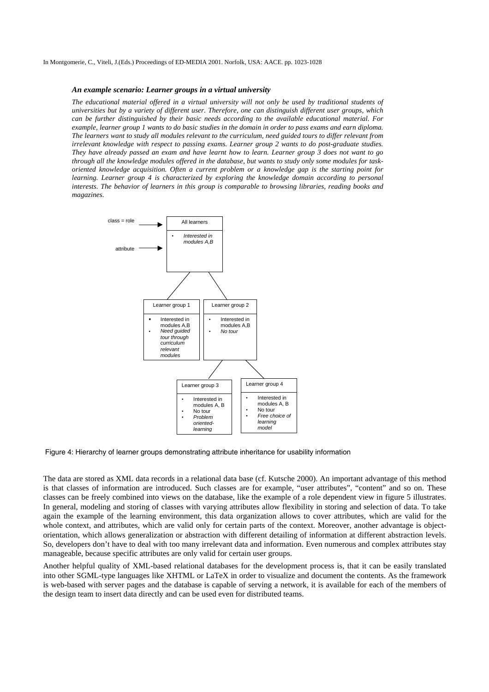#### *An example scenario: Learner groups in a virtual university*

*The educational material offered in a virtual university will not only be used by traditional students of universities but by a variety of different user. Therefore, one can distinguish different user groups, which can be further distinguished by their basic needs according to the available educational material. For example, learner group 1 wants to do basic studies in the domain in order to pass exams and earn diploma. The learners want to study all modules relevant to the curriculum, need guided tours to differ relevant from irrelevant knowledge with respect to passing exams. Learner group 2 wants to do post-graduate studies. They have already passed an exam and have learnt how to learn. Learner group 3 does not want to go through all the knowledge modules offered in the database, but wants to study only some modules for taskoriented knowledge acquisition. Often a current problem or a knowledge gap is the starting point for learning. Learner group 4 is characterized by exploring the knowledge domain according to personal interests. The behavior of learners in this group is comparable to browsing libraries, reading books and magazines.* 



Figure 4: Hierarchy of learner groups demonstrating attribute inheritance for usability information

The data are stored as XML data records in a relational data base (cf. Kutsche 2000). An important advantage of this method is that classes of information are introduced. Such classes are for example, "user attributes", "content" and so on. These classes can be freely combined into views on the database, like the example of a role dependent view in figure 5 illustrates. In general, modeling and storing of classes with varying attributes allow flexibility in storing and selection of data. To take again the example of the learning environment, this data organization allows to cover attributes, which are valid for the whole context, and attributes, which are valid only for certain parts of the context. Moreover, another advantage is objectorientation, which allows generalization or abstraction with different detailing of information at different abstraction levels. So, developers don't have to deal with too many irrelevant data and information. Even numerous and complex attributes stay manageable, because specific attributes are only valid for certain user groups.

Another helpful quality of XML-based relational databases for the development process is, that it can be easily translated into other SGML-type languages like XHTML or LaTeX in order to visualize and document the contents. As the framework is web-based with server pages and the database is capable of serving a network, it is available for each of the members of the design team to insert data directly and can be used even for distributed teams.